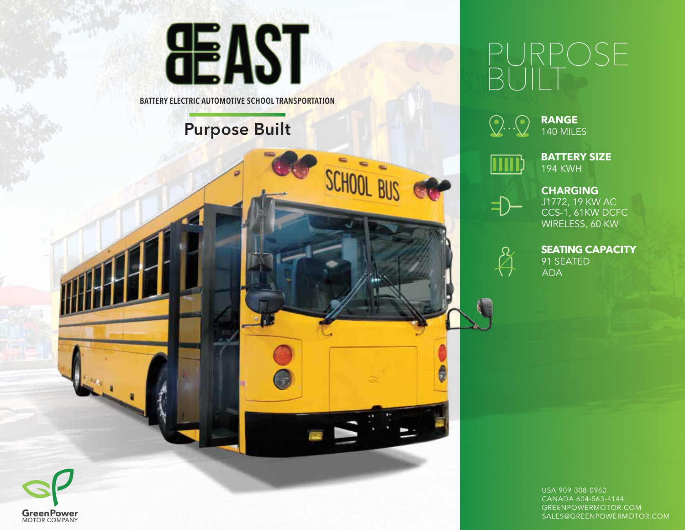



# PURPOSE BUILT



**RANGE** 140 MILES

**BATTERY SIZE** 194 KWH



CHARGING CCS-1, 61KW DCFC WIRELESS, 60 KW J1772, 19 KW AC



**SEATING CAPACITY** 91 SEATED ADA

USA 909-308-0960 CANADA 604-563-4144 GREENPOWERMOTOR.COM SALES@GREENPOWERMOTOR.COM